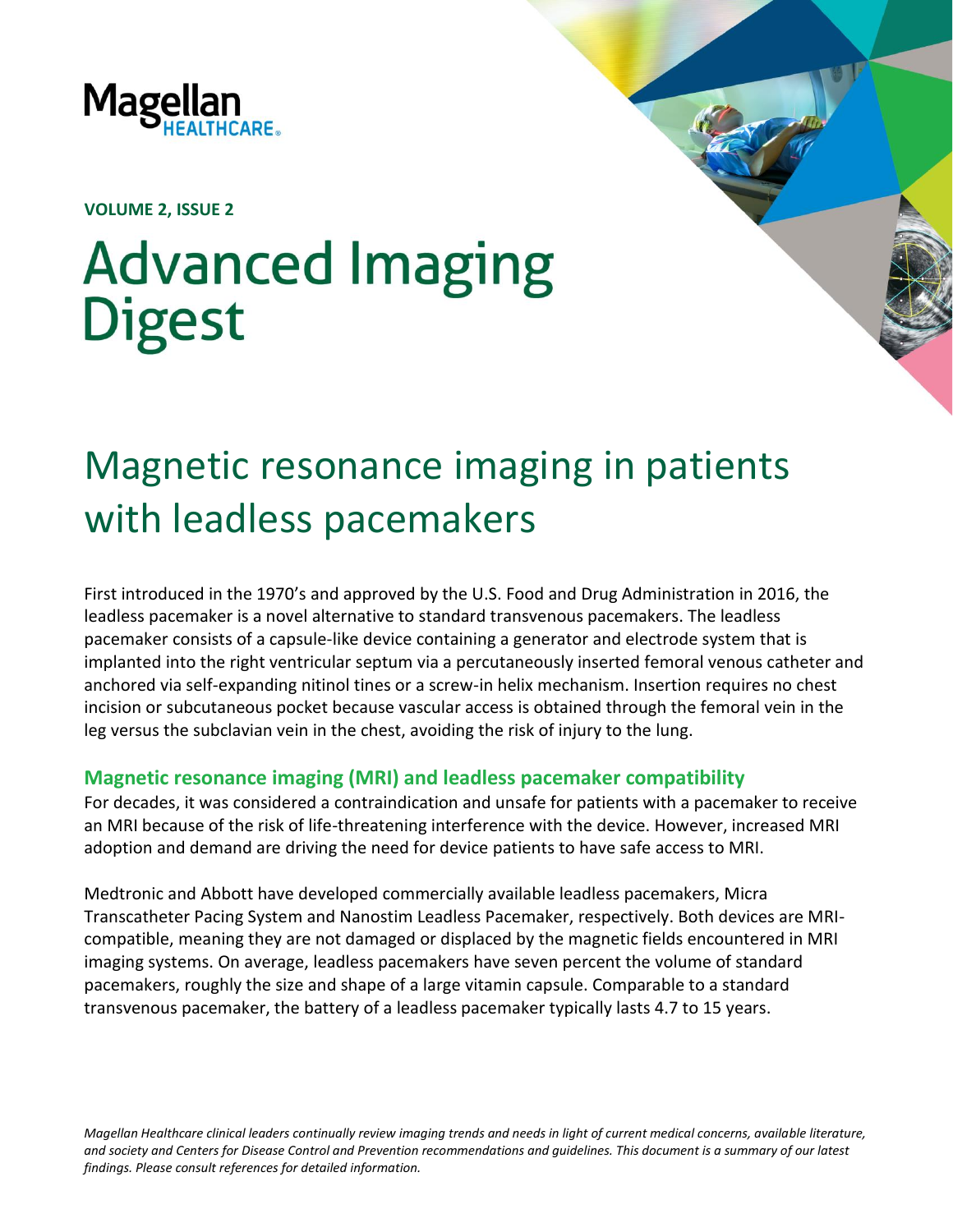

**VOLUME 2, ISSUE 2**

# **Advanced Imaging Digest**

# Magnetic resonance imaging in patients with leadless pacemakers

First introduced in the 1970's and approved by the U.S. Food and Drug Administration in 2016, the leadless pacemaker is a novel alternative to standard transvenous pacemakers. The leadless pacemaker consists of a capsule‐like device containing a generator and electrode system that is implanted into the right ventricular septum via a percutaneously inserted femoral venous catheter and anchored via self-expanding nitinol tines or a screw-in helix mechanism. Insertion requires no chest incision or subcutaneous pocket because vascular access is obtained through the femoral vein in the leg versus the subclavian vein in the chest, avoiding the risk of injury to the lung.

# **Magnetic resonance imaging (MRI) and leadless pacemaker compatibility**

For decades, it was considered a contraindication and unsafe for patients with a pacemaker to receive an MRI because of the risk of life-threatening interference with the device. However, increased MRI adoption and demand are driving the need for device patients to have safe access to MRI.

Medtronic and Abbott have developed commercially available leadless pacemakers, Micra Transcatheter Pacing System and Nanostim Leadless Pacemaker, respectively. Both devices are MRIcompatible, meaning they are not damaged or displaced by the magnetic fields encountered in MRI imaging systems. On average, leadless pacemakers have seven percent the volume of standard pacemakers, roughly the size and shape of a large vitamin capsule. Comparable to a standard transvenous pacemaker, the battery of a leadless pacemaker typically lasts 4.7 to 15 years.

*Magellan Healthcare clinical leaders continually review imaging trends and needs in light of current medical concerns, available literature, and society and Centers for Disease Control and Prevention recommendations and guidelines. This document is a summary of our latest findings. Please consult references for detailed information.*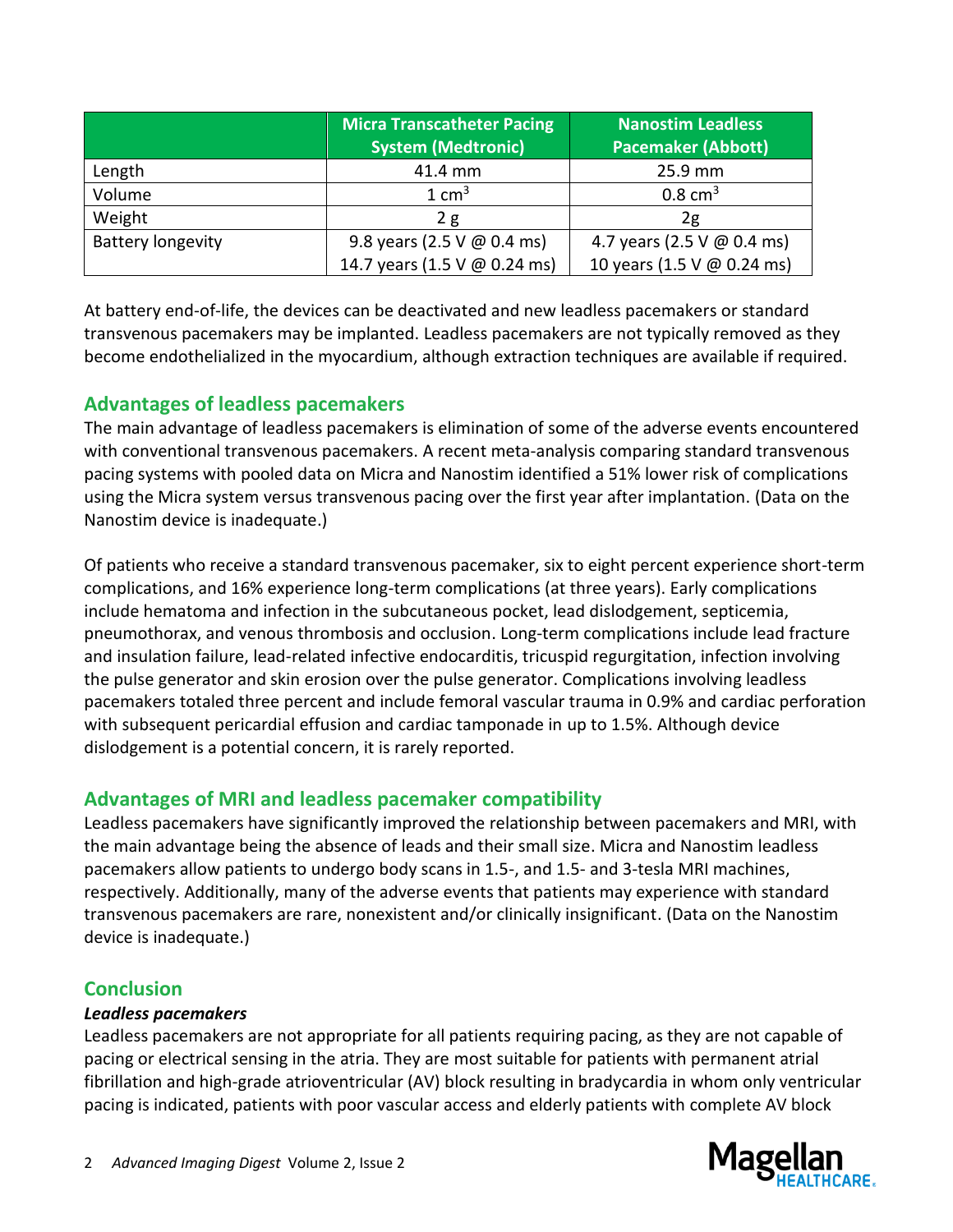|                          | <b>Micra Transcatheter Pacing</b><br><b>System (Medtronic)</b> | <b>Nanostim Leadless</b><br><b>Pacemaker (Abbott)</b> |
|--------------------------|----------------------------------------------------------------|-------------------------------------------------------|
| Length                   | 41.4 mm                                                        | 25.9 mm                                               |
| Volume                   | $1 \text{ cm}^3$                                               | $0.8 \text{ cm}^3$                                    |
| Weight                   | 2g                                                             | 2g                                                    |
| <b>Battery longevity</b> | 9.8 years (2.5 V $\omega$ 0.4 ms)                              | 4.7 years (2.5 V @ 0.4 ms)                            |
|                          | 14.7 years (1.5 V @ 0.24 ms)                                   | 10 years (1.5 V @ 0.24 ms)                            |

At battery end-of-life, the devices can be deactivated and new leadless pacemakers or standard transvenous pacemakers may be implanted. Leadless pacemakers are not typically removed as they become endothelialized in the myocardium, although extraction techniques are available if required.

# **Advantages of leadless pacemakers**

The main advantage of leadless pacemakers is elimination of some of the adverse events encountered with conventional transvenous pacemakers. A recent meta-analysis comparing standard transvenous pacing systems with pooled data on Micra and Nanostim identified a 51% lower risk of complications using the Micra system versus transvenous pacing over the first year after implantation. (Data on the Nanostim device is inadequate.)

Of patients who receive a standard transvenous pacemaker, six to eight percent experience short-term complications, and 16% experience long-term complications (at three years). Early complications include hematoma and infection in the subcutaneous pocket, lead dislodgement, septicemia, pneumothorax, and venous thrombosis and occlusion. Long-term complications include lead fracture and insulation failure, lead-related infective endocarditis, tricuspid regurgitation, infection involving the pulse generator and skin erosion over the pulse generator. Complications involving leadless pacemakers totaled three percent and include femoral vascular trauma in 0.9% and cardiac perforation with subsequent pericardial effusion and cardiac tamponade in up to 1.5%. Although device dislodgement is a potential concern, it is rarely reported.

# **Advantages of MRI and leadless pacemaker compatibility**

Leadless pacemakers have significantly improved the relationship between pacemakers and MRI, with the main advantage being the absence of leads and their small size. Micra and Nanostim leadless pacemakers allow patients to undergo body scans in 1.5-, and 1.5- and 3-tesla MRI machines, respectively. Additionally, many of the adverse events that patients may experience with standard transvenous pacemakers are rare, nonexistent and/or clinically insignificant. (Data on the Nanostim device is inadequate.)

# **Conclusion**

#### *Leadless pacemakers*

Leadless pacemakers are not appropriate for all patients requiring pacing, as they are not capable of pacing or electrical sensing in the atria. They are most suitable for patients with permanent atrial fibrillation and high-grade atrioventricular (AV) block resulting in bradycardia in whom only ventricular pacing is indicated, patients with poor vascular access and elderly patients with complete AV block

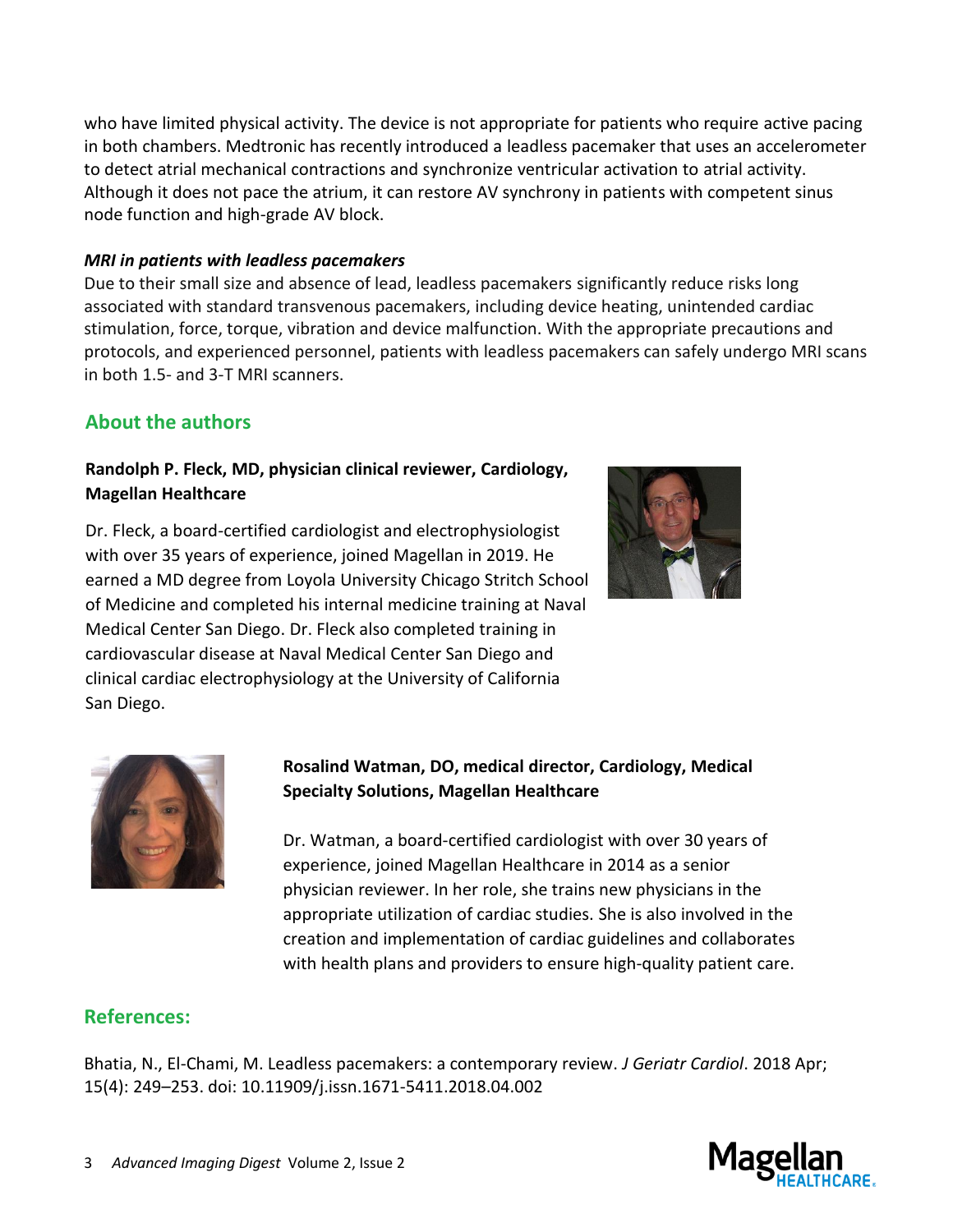who have limited physical activity. The device is not appropriate for patients who require active pacing in both chambers. Medtronic has recently introduced a leadless pacemaker that uses an accelerometer to detect atrial mechanical contractions and synchronize ventricular activation to atrial activity. Although it does not pace the atrium, it can restore AV synchrony in patients with competent sinus node function and high-grade AV block.

#### *MRI in patients with leadless pacemakers*

Due to their small size and absence of lead, leadless pacemakers significantly reduce risks long associated with standard transvenous pacemakers, including device heating, unintended cardiac stimulation, force, torque, vibration and device malfunction. With the appropriate precautions and protocols, and experienced personnel, patients with leadless pacemakers can safely undergo MRI scans in both 1.5- and 3-T MRI scanners.

### **About the authors**

#### **Randolph P. Fleck, MD, physician clinical reviewer, Cardiology, Magellan Healthcare**

Dr. Fleck, a board-certified cardiologist and electrophysiologist with over 35 years of experience, joined Magellan in 2019. He earned a MD degree from Loyola University Chicago Stritch School of Medicine and completed his internal medicine training at Naval Medical Center San Diego. Dr. Fleck also completed training in cardiovascular disease at Naval Medical Center San Diego and clinical cardiac electrophysiology at the University of California San Diego.



#### **Rosalind Watman, DO, medical director, Cardiology, Medical Specialty Solutions, Magellan Healthcare**

Dr. Watman, a board-certified cardiologist with over 30 years of experience, joined Magellan Healthcare in 2014 as a senior physician reviewer. In her role, she trains new physicians in the appropriate utilization of cardiac studies. She is also involved in the creation and implementation of cardiac guidelines and collaborates with health plans and providers to ensure high-quality patient care.

#### **References:**

Bhatia, N., El-Chami, M. Leadless pacemakers: a contemporary review. *J Geriatr Cardiol*. 2018 Apr; 15(4): 249–253. doi: [10.11909/j.issn.1671-5411.2018.04.002](https://dx.doi.org/10.11909%2Fj.issn.1671-5411.2018.04.002)